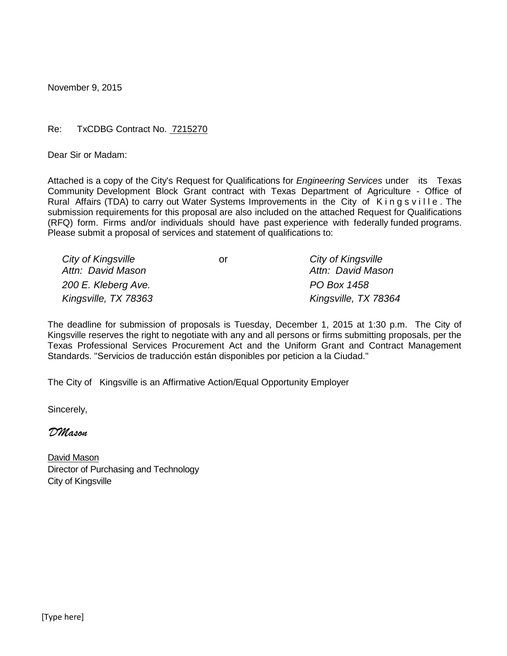November 9, 2015

#### Re: TxCDBG Contract No. 7215270

Dear Sir or Madam:

Attached is a copy of the City's Request for Qualifications for *Engineering Services* under its Texas Community Development Block Grant contract with Texas Department of Agriculture - Office of Rural Affairs (TDA) to carry out Water Systems Improvements in the City of Kingsville. The submission requirements for this proposal are also included on the attached Request for Qualifications (RFQ) form. Firms and/or individuals should have past experience with federally funded programs. Please submit a proposal of services and statement of qualifications to:

| City of Kingsville   | or | City of Kingsville   |
|----------------------|----|----------------------|
| Attn: David Mason    |    | Attn: David Mason    |
| 200 E. Kleberg Ave.  |    | PO Box 1458          |
| Kingsville, TX 78363 |    | Kingsville, TX 78364 |

The deadline for submission of proposals is Tuesday, December 1, 2015 at 1:30 p.m. The City of Kingsville reserves the right to negotiate with any and all persons or firms submitting proposals, per the Texas Professional Services Procurement Act and the Uniform Grant and Contract Management Standards. "Servicios de traducción están disponibles por peticion a la Ciudad."

The City of Kingsville is an Affirmative Action/Equal Opportunity Employer

Sincerely,

*DMason*

David Mason Director of Purchasing and Technology City of Kingsville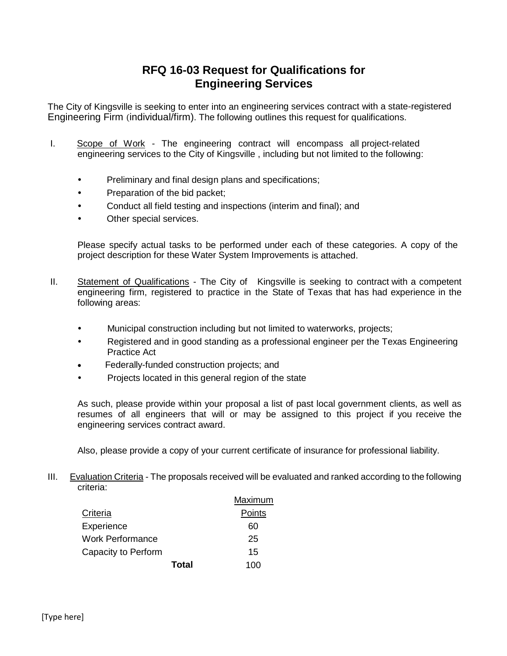## **RFQ 16-03 Request for Qualifications for Engineering Services**

The City of Kingsville is seeking to enter into an engineering services contract with a state-registered Engineering Firm (individual/firm). The following outlines this request for qualifications.

- I. Scope of Work The engineering contract will encompass all project-related engineering services to the City of Kingsville , including but not limited to the following:
	- Preliminary and final design plans and specifications;
	- Preparation of the bid packet;
	- Conduct all field testing and inspections (interim and final); and
	- Other special services.

Please specify actual tasks to be performed under each of these categories. A copy of the project description for these Water System Improvements is attached.

- II. Statement of Qualifications The City of Kingsville is seeking to contract with a competent engineering firm, registered to practice in the State of Texas that has had experience in the following areas:
	- Municipal construction including but not limited to waterworks, projects;
	- Registered and in good standing as a professional engineer per the Texas Engineering Practice Act
	- Federally-funded construction projects; and
	- Projects located in this general region of the state

As such, please provide within your proposal a list of past local government clients, as well as resumes of all engineers that will or may be assigned to this project if you receive the engineering services contract award.

Also, please provide a copy of your current certificate of insurance for professional liability.

III. Evaluation Criteria - The proposals received will be evaluated and ranked according to the following criteria:

|                         |       | Maximum |
|-------------------------|-------|---------|
| Criteria                |       | Points  |
| Experience              |       | 60      |
| <b>Work Performance</b> |       | 25      |
| Capacity to Perform     |       | 15      |
|                         | Total | 100     |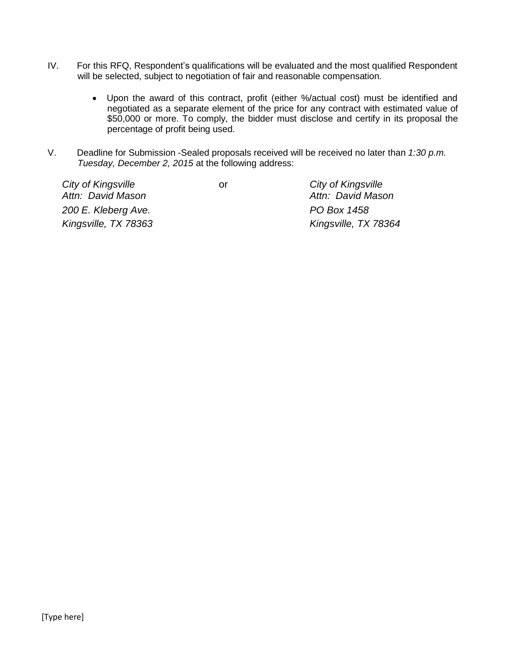- IV. For this RFQ, Respondent's qualifications will be evaluated and the most qualified Respondent will be selected, subject to negotiation of fair and reasonable compensation.
	- Upon the award of this contract, profit (either %/actual cost) must be identified and negotiated as a separate element of the price for any contract with estimated value of \$50,000 or more. To comply, the bidder must disclose and certify in its proposal the percentage of profit being used.
- V. Deadline for Submission -Sealed proposals received will be received no later than *1:30 p.m. Tuesday, December 2, 2015* at the following address:

| City of Kingsville   | or | City of Kingsville   |
|----------------------|----|----------------------|
| Attn: David Mason    |    | Attn: David Mason    |
| 200 E. Kleberg Ave.  |    | PO Box 1458          |
| Kingsville, TX 78363 |    | Kingsville, TX 78364 |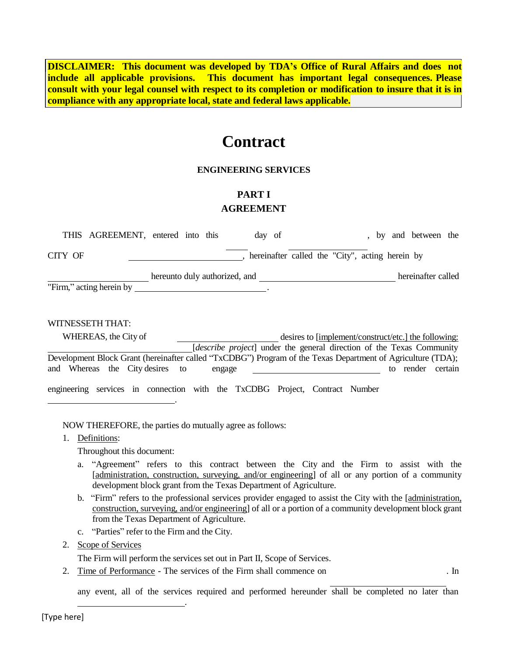**DISCLAIMER: This document was developed by TDA's Office of Rural Affairs and does not include all applicable provisions. This document has important legal consequences. Please consult with your legal counsel with respect to its completion or modification to insure that it is in compliance with any appropriate local, state and federal laws applicable.**

# **Contract**

#### **ENGINEERING SERVICES**

### **PART I AGREEMENT**

|         | THIS AGREEMENT, entered into this |                               |  | day of                                          |  |  |  | by and between the |  |
|---------|-----------------------------------|-------------------------------|--|-------------------------------------------------|--|--|--|--------------------|--|
| CITY OF |                                   |                               |  | hereinafter called the "City", acting herein by |  |  |  |                    |  |
|         | "Firm," acting herein by          | hereunto duly authorized, and |  |                                                 |  |  |  | hereinafter called |  |
|         |                                   |                               |  |                                                 |  |  |  |                    |  |

#### WITNESSETH THAT:

|  | WHEREAS, the City of |                                 | desires to [implement/construct/etc.] the following: |        |  |  |  |  |  |                                                                                                             |  |                   |
|--|----------------------|---------------------------------|------------------------------------------------------|--------|--|--|--|--|--|-------------------------------------------------------------------------------------------------------------|--|-------------------|
|  |                      |                                 |                                                      |        |  |  |  |  |  | <i>describe project</i> under the general direction of the Texas Community                                  |  |                   |
|  |                      |                                 |                                                      |        |  |  |  |  |  | Development Block Grant (hereinafter called "TxCDBG") Program of the Texas Department of Agriculture (TDA); |  |                   |
|  |                      | and Whereas the City desires to |                                                      | engage |  |  |  |  |  |                                                                                                             |  | to render certain |
|  |                      |                                 |                                                      |        |  |  |  |  |  | engineering services in connection with the TxCDBG Project, Contract Number                                 |  |                   |

NOW THEREFORE, the parties do mutually agree as follows:

.

1. Definitions:

Throughout this document:

- a. "Agreement" refers to this contract between the City and the Firm to assist with the [administration, construction, surveying, and/or engineering] of all or any portion of a community development block grant from the Texas Department of Agriculture.
- b. "Firm" refers to the professional services provider engaged to assist the City with the [administration, construction, surveying, and/or engineering] of all or a portion of a community development block grant from the Texas Department of Agriculture.
- c. "Parties" refer to the Firm and the City.
- 2. Scope of Services

The Firm will perform the services set out in Part II, Scope of Services.

2. Time of Performance - The services of the Firm shall commence on . In

.

any event, all of the services required and performed hereunder shall be completed no later than

[Type here]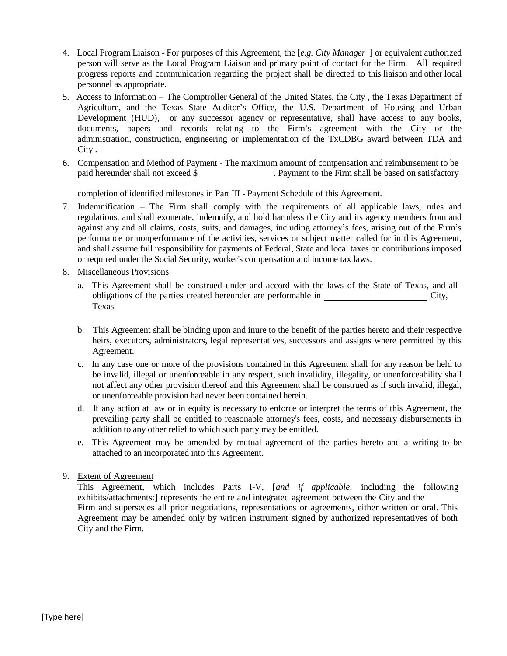- 4. Local Program Liaison For purposes of this Agreement, the [*e.g. City Manager* ] or equivalent authorized person will serve as the Local Program Liaison and primary point of contact for the Firm. All required progress reports and communication regarding the project shall be directed to this liaison and other local personnel as appropriate.
- 5. Access to Information The Comptroller General of the United States, the City , the Texas Department of Agriculture, and the Texas State Auditor's Office, the U.S. Department of Housing and Urban Development (HUD), or any successor agency or representative, shall have access to any books, documents, papers and records relating to the Firm's agreement with the City or the administration, construction, engineering or implementation of the TxCDBG award between TDA and City .
- 6. Compensation and Method of Payment The maximum amount of compensation and reimbursement to be paid hereunder shall not exceed \$ . Payment to the Firm shall be based on satisfactory

completion of identified milestones in Part III - Payment Schedule of this Agreement.

- 7. Indemnification The Firm shall comply with the requirements of all applicable laws, rules and regulations, and shall exonerate, indemnify, and hold harmless the City and its agency members from and against any and all claims, costs, suits, and damages, including attorney's fees, arising out of the Firm's performance or nonperformance of the activities, services or subject matter called for in this Agreement, and shall assume full responsibility for payments of Federal, State and local taxes on contributions imposed or required under the Social Security, worker's compensation and income tax laws.
- 8. Miscellaneous Provisions
	- a. This Agreement shall be construed under and accord with the laws of the State of Texas, and all obligations of the parties created hereunder are performable in City, Texas.
	- b. This Agreement shall be binding upon and inure to the benefit of the parties hereto and their respective heirs, executors, administrators, legal representatives, successors and assigns where permitted by this Agreement.
	- c. In any case one or more of the provisions contained in this Agreement shall for any reason be held to be invalid, illegal or unenforceable in any respect, such invalidity, illegality, or unenforceability shall not affect any other provision thereof and this Agreement shall be construed as if such invalid, illegal, or unenforceable provision had never been contained herein.
	- d. If any action at law or in equity is necessary to enforce or interpret the terms of this Agreement, the prevailing party shall be entitled to reasonable attorney's fees, costs, and necessary disbursements in addition to any other relief to which such party may be entitled.
	- e. This Agreement may be amended by mutual agreement of the parties hereto and a writing to be attached to an incorporated into this Agreement.
- 9. Extent of Agreement

This Agreement, which includes Parts I-V, [*and if applicable,* including the following exhibits/attachments:] represents the entire and integrated agreement between the City and the Firm and supersedes all prior negotiations, representations or agreements, either written or oral. This Agreement may be amended only by written instrument signed by authorized representatives of both City and the Firm.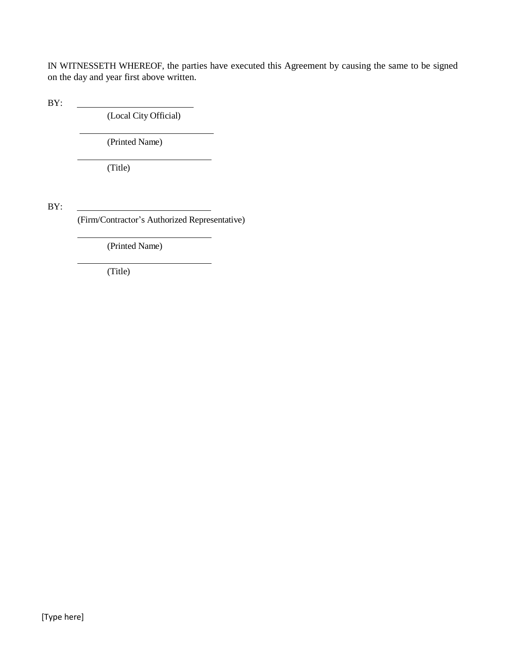IN WITNESSETH WHEREOF, the parties have executed this Agreement by causing the same to be signed on the day and year first above written.

BY:

(Local City Official)

 $\overline{\phantom{a}}$ 

(Printed Name)

(Title)

BY:

(Firm/Contractor's Authorized Representative)

(Printed Name)

(Title)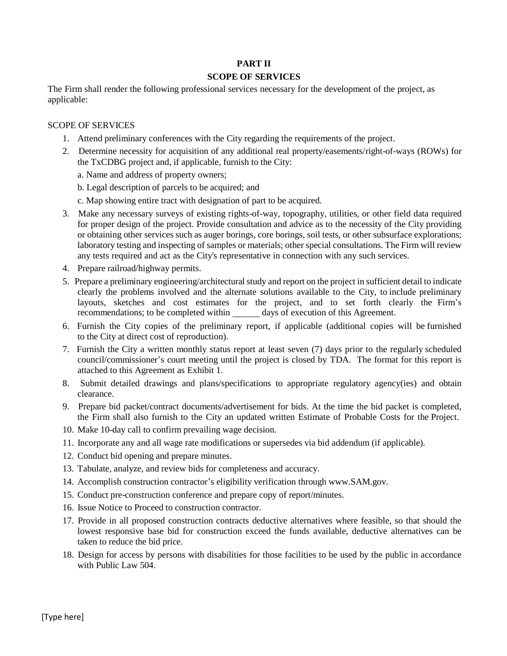#### **PART II**

#### **SCOPE OF SERVICES**

The Firm shall render the following professional services necessary for the development of the project, as applicable:

#### SCOPE OF SERVICES

- 1. Attend preliminary conferences with the City regarding the requirements of the project.
- 2. Determine necessity for acquisition of any additional real property/easements/right-of-ways (ROWs) for the TxCDBG project and, if applicable, furnish to the City:

a. Name and address of property owners;

b. Legal description of parcels to be acquired; and

- c. Map showing entire tract with designation of part to be acquired.
- 3. Make any necessary surveys of existing rights-of-way, topography, utilities, or other field data required for proper design of the project. Provide consultation and advice as to the necessity of the City providing or obtaining other services such as auger borings, core borings, soil tests, or other subsurface explorations; laboratory testing and inspecting of samples or materials; other special consultations. The Firm will review any tests required and act as the City's representative in connection with any such services.
- 4. Prepare railroad/highway permits.
- 5. Prepare a preliminary engineering/architectural study and report on the project in sufficient detail to indicate clearly the problems involved and the alternate solutions available to the City, to include preliminary layouts, sketches and cost estimates for the project, and to set forth clearly the Firm's recommendations; to be completed within days of execution of this Agreement.
- 6. Furnish the City copies of the preliminary report, if applicable (additional copies will be furnished to the City at direct cost of reproduction).
- 7. Furnish the City a written monthly status report at least seven (7) days prior to the regularly scheduled council/commissioner's court meeting until the project is closed by TDA. The format for this report is attached to this Agreement as Exhibit 1.
- 8. Submit detailed drawings and plans/specifications to appropriate regulatory agency(ies) and obtain clearance.
- 9. Prepare bid packet/contract documents/advertisement for bids. At the time the bid packet is completed, the Firm shall also furnish to the City an updated written Estimate of Probable Costs for the Project.
- 10. Make 10-day call to confirm prevailing wage decision.
- 11. Incorporate any and all wage rate modifications or supersedes via bid addendum (if applicable).
- 12. Conduct bid opening and prepare minutes.
- 13. Tabulate, analyze, and review bids for completeness and accuracy.
- 14. Accomplish construction contractor's eligibility verification throu[gh www.SAM.gov.](http://www.sam.gov/)
- 15. Conduct pre-construction conference and prepare copy of report/minutes.
- 16. Issue Notice to Proceed to construction contractor.
- 17. Provide in all proposed construction contracts deductive alternatives where feasible, so that should the lowest responsive base bid for construction exceed the funds available, deductive alternatives can be taken to reduce the bid price.
- 18. Design for access by persons with disabilities for those facilities to be used by the public in accordance with Public Law 504.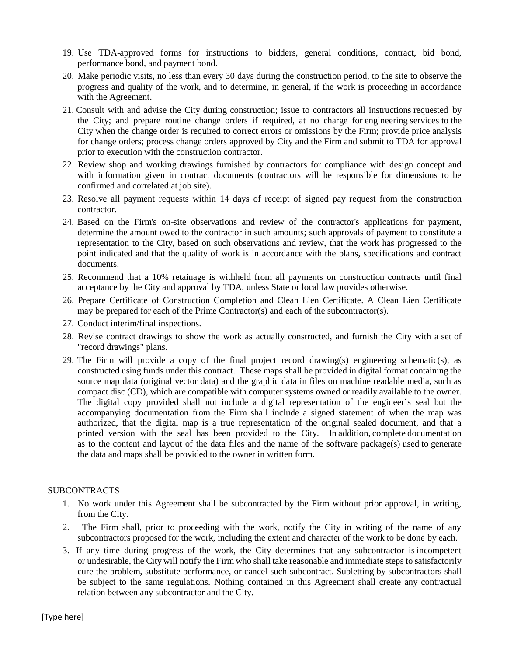- 19. Use TDA-approved forms for instructions to bidders, general conditions, contract, bid bond, performance bond, and payment bond.
- 20. Make periodic visits, no less than every 30 days during the construction period, to the site to observe the progress and quality of the work, and to determine, in general, if the work is proceeding in accordance with the Agreement.
- 21. Consult with and advise the City during construction; issue to contractors all instructions requested by the City; and prepare routine change orders if required, at no charge for engineering services to the City when the change order is required to correct errors or omissions by the Firm; provide price analysis for change orders; process change orders approved by City and the Firm and submit to TDA for approval prior to execution with the construction contractor.
- 22. Review shop and working drawings furnished by contractors for compliance with design concept and with information given in contract documents (contractors will be responsible for dimensions to be confirmed and correlated at job site).
- 23. Resolve all payment requests within 14 days of receipt of signed pay request from the construction contractor.
- 24. Based on the Firm's on-site observations and review of the contractor's applications for payment, determine the amount owed to the contractor in such amounts; such approvals of payment to constitute a representation to the City, based on such observations and review, that the work has progressed to the point indicated and that the quality of work is in accordance with the plans, specifications and contract documents.
- 25. Recommend that a 10% retainage is withheld from all payments on construction contracts until final acceptance by the City and approval by TDA, unless State or local law provides otherwise.
- 26. Prepare Certificate of Construction Completion and Clean Lien Certificate. A Clean Lien Certificate may be prepared for each of the Prime Contractor(s) and each of the subcontractor(s).
- 27. Conduct interim/final inspections.
- 28. Revise contract drawings to show the work as actually constructed, and furnish the City with a set of "record drawings" plans.
- 29. The Firm will provide a copy of the final project record drawing(s) engineering schematic(s), as constructed using funds under this contract. These maps shall be provided in digital format containing the source map data (original vector data) and the graphic data in files on machine readable media, such as compact disc (CD), which are compatible with computer systems owned or readily available to the owner. The digital copy provided shall not include a digital representation of the engineer's seal but the accompanying documentation from the Firm shall include a signed statement of when the map was authorized, that the digital map is a true representation of the original sealed document, and that a printed version with the seal has been provided to the City. In addition, complete documentation as to the content and layout of the data files and the name of the software package(s) used to generate the data and maps shall be provided to the owner in written form.

#### SUBCONTRACTS

- 1. No work under this Agreement shall be subcontracted by the Firm without prior approval, in writing, from the City.
- 2. The Firm shall, prior to proceeding with the work, notify the City in writing of the name of any subcontractors proposed for the work, including the extent and character of the work to be done by each.
- 3. If any time during progress of the work, the City determines that any subcontractor is incompetent or undesirable, the City will notify the Firm who shall take reasonable and immediate steps to satisfactorily cure the problem, substitute performance, or cancel such subcontract. Subletting by subcontractors shall be subject to the same regulations. Nothing contained in this Agreement shall create any contractual relation between any subcontractor and the City.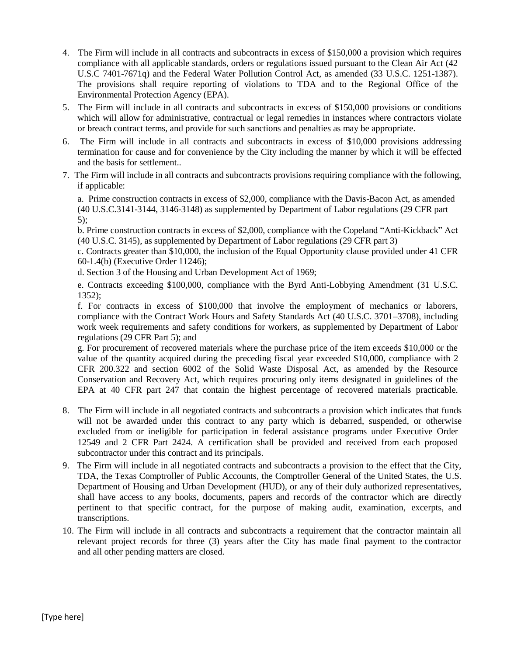- 4. The Firm will include in all contracts and subcontracts in excess of \$150,000 a provision which requires compliance with all applicable standards, orders or regulations issued pursuant to the Clean Air Act (42 U.S.C 7401-7671q) and the Federal Water Pollution Control Act, as amended (33 U.S.C. 1251-1387). The provisions shall require reporting of violations to TDA and to the Regional Office of the Environmental Protection Agency (EPA).
- 5. The Firm will include in all contracts and subcontracts in excess of \$150,000 provisions or conditions which will allow for administrative, contractual or legal remedies in instances where contractors violate or breach contract terms, and provide for such sanctions and penalties as may be appropriate.
- 6. The Firm will include in all contracts and subcontracts in excess of \$10,000 provisions addressing termination for cause and for convenience by the City including the manner by which it will be effected and the basis for settlement..
- 7. The Firm will include in all contracts and subcontracts provisions requiring compliance with the following, if applicable:

a. Prime construction contracts in excess of \$2,000, compliance with the Davis-Bacon Act, as amended (40 U.S.C.3141-3144, 3146-3148) as supplemented by Department of Labor regulations (29 CFR part 5);

b. Prime construction contracts in excess of \$2,000, compliance with the Copeland "Anti-Kickback" Act (40 U.S.C. 3145), as supplemented by Department of Labor regulations (29 CFR part 3)

c. Contracts greater than \$10,000, the inclusion of the Equal Opportunity clause provided under 41 CFR 60-1.4(b) (Executive Order 11246);

d. Section 3 of the Housing and Urban Development Act of 1969;

e. Contracts exceeding \$100,000, compliance with the Byrd Anti-Lobbying Amendment (31 U.S.C. 1352);

f. For contracts in excess of \$100,000 that involve the employment of mechanics or laborers, compliance with the Contract Work Hours and Safety Standards Act (40 U.S.C. 3701–3708), including work week requirements and safety conditions for workers, as supplemented by Department of Labor regulations (29 CFR Part 5); and

g. For procurement of recovered materials where the purchase price of the item exceeds \$10,000 or the value of the quantity acquired during the preceding fiscal year exceeded \$10,000, compliance with 2 CFR 200.322 and section 6002 of the Solid Waste Disposal Act, as amended by the Resource Conservation and Recovery Act, which requires procuring only items designated in guidelines of the EPA at 40 CFR part 247 that contain the highest percentage of recovered materials practicable.

- 8. The Firm will include in all negotiated contracts and subcontracts a provision which indicates that funds will not be awarded under this contract to any party which is debarred, suspended, or otherwise excluded from or ineligible for participation in federal assistance programs under Executive Order 12549 and 2 CFR Part 2424. A certification shall be provided and received from each proposed subcontractor under this contract and its principals.
- 9. The Firm will include in all negotiated contracts and subcontracts a provision to the effect that the City, TDA, the Texas Comptroller of Public Accounts, the Comptroller General of the United States, the U.S. Department of Housing and Urban Development (HUD), or any of their duly authorized representatives, shall have access to any books, documents, papers and records of the contractor which are directly pertinent to that specific contract, for the purpose of making audit, examination, excerpts, and transcriptions.
- 10. The Firm will include in all contracts and subcontracts a requirement that the contractor maintain all relevant project records for three (3) years after the City has made final payment to the contractor and all other pending matters are closed.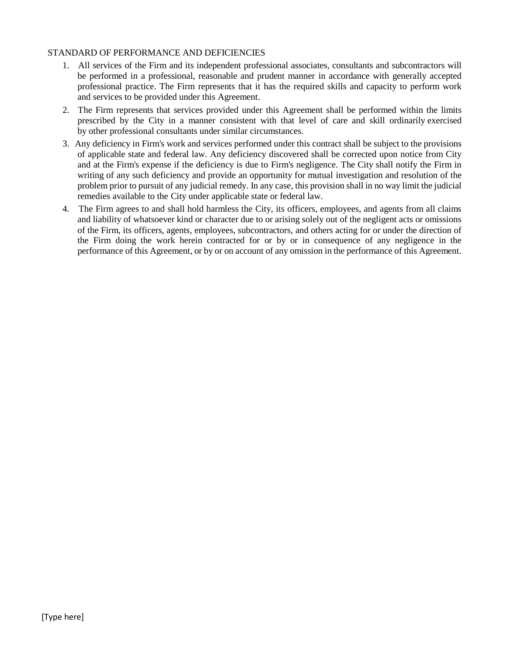#### STANDARD OF PERFORMANCE AND DEFICIENCIES

- 1. All services of the Firm and its independent professional associates, consultants and subcontractors will be performed in a professional, reasonable and prudent manner in accordance with generally accepted professional practice. The Firm represents that it has the required skills and capacity to perform work and services to be provided under this Agreement.
- 2. The Firm represents that services provided under this Agreement shall be performed within the limits prescribed by the City in a manner consistent with that level of care and skill ordinarily exercised by other professional consultants under similar circumstances.
- 3. Any deficiency in Firm's work and services performed under this contract shall be subject to the provisions of applicable state and federal law. Any deficiency discovered shall be corrected upon notice from City and at the Firm's expense if the deficiency is due to Firm's negligence. The City shall notify the Firm in writing of any such deficiency and provide an opportunity for mutual investigation and resolution of the problem prior to pursuit of any judicial remedy. In any case, this provision shall in no way limit the judicial remedies available to the City under applicable state or federal law.
- 4. The Firm agrees to and shall hold harmless the City, its officers, employees, and agents from all claims and liability of whatsoever kind or character due to or arising solely out of the negligent acts or omissions of the Firm, its officers, agents, employees, subcontractors, and others acting for or under the direction of the Firm doing the work herein contracted for or by or in consequence of any negligence in the performance of this Agreement, or by or on account of any omission in the performance of this Agreement.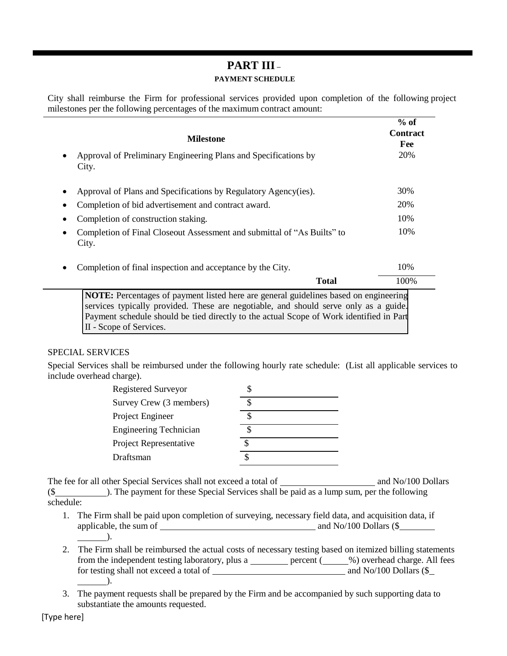#### **PART III – PAYMENT SCHEDULE**

City shall reimburse the Firm for professional services provided upon completion of the following project milestones per the following percentages of the maximum contract amount:

**% of** 

| <b>Milestone</b>                                                                                                                                                                                                                                                                                   | $\%$ of<br><b>Contract</b><br>Fee |
|----------------------------------------------------------------------------------------------------------------------------------------------------------------------------------------------------------------------------------------------------------------------------------------------------|-----------------------------------|
| Approval of Preliminary Engineering Plans and Specifications by<br>City.                                                                                                                                                                                                                           | 20%                               |
| Approval of Plans and Specifications by Regulatory Agency(ies).                                                                                                                                                                                                                                    | 30%                               |
| Completion of bid advertisement and contract award.                                                                                                                                                                                                                                                | 20%                               |
| Completion of construction staking.                                                                                                                                                                                                                                                                | 10%                               |
| Completion of Final Closeout Assessment and submittal of "As Builts" to<br>City.                                                                                                                                                                                                                   | 10%                               |
| Completion of final inspection and acceptance by the City.                                                                                                                                                                                                                                         | 10%                               |
| <b>Total</b>                                                                                                                                                                                                                                                                                       | 100%                              |
| NOTE: Percentages of payment listed here are general guidelines based on engineering<br>services typically provided. These are negotiable, and should serve only as a guide.<br>Payment schedule should be tied directly to the actual Scope of Work identified in Part<br>II - Scope of Services. |                                   |

#### SPECIAL SERVICES

Special Services shall be reimbursed under the following hourly rate schedule: (List all applicable services to include overhead charge).

| <b>Registered Surveyor</b>    |  |
|-------------------------------|--|
| Survey Crew (3 members)       |  |
| Project Engineer              |  |
| <b>Engineering Technician</b> |  |
| Project Representative        |  |
| Draftsman                     |  |

The fee for all other Special Services shall not exceed a total of and No/100 Dollars (\$ ). The payment for these Special Services shall be paid as a lump sum, per the following schedule:

- 1. The Firm shall be paid upon completion of surveying, necessary field data, and acquisition data, if applicable, the sum of  $\frac{1}{\sqrt{2\pi}}$  and No/100 Dollars (\$  $\qquad$ ).
- 2. The Firm shall be reimbursed the actual costs of necessary testing based on itemized billing statements from the independent testing laboratory, plus a <u>percent</u> (see September 2004) overhead charge. All fees for testing shall not exceed a total of  $\overline{\phantom{a}}$  and No/100 Dollars (\$  $\overline{\phantom{a}}$ ).
- 3. The payment requests shall be prepared by the Firm and be accompanied by such supporting data to substantiate the amounts requested.

[Type here]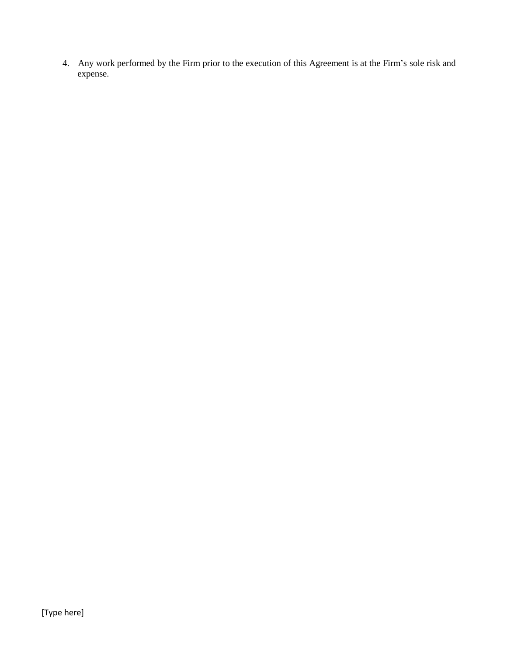4. Any work performed by the Firm prior to the execution of this Agreement is at the Firm's sole risk and expense.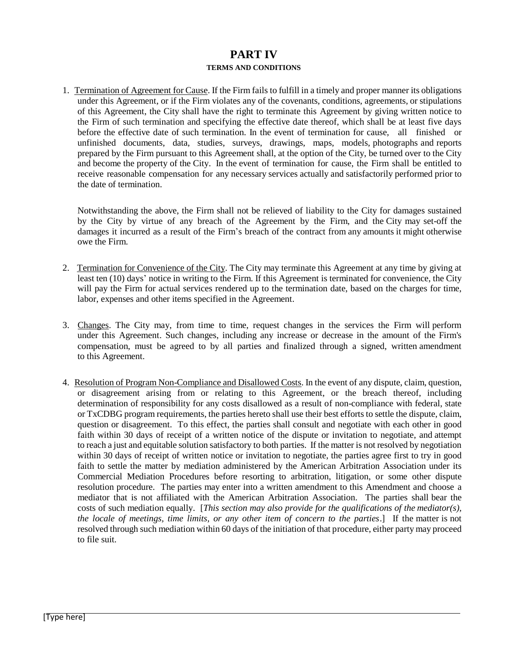#### **PART IV TERMS AND CONDITIONS**

1. Termination of Agreement for Cause. If the Firm fails to fulfill in a timely and proper manner its obligations under this Agreement, or if the Firm violates any of the covenants, conditions, agreements, or stipulations of this Agreement, the City shall have the right to terminate this Agreement by giving written notice to the Firm of such termination and specifying the effective date thereof, which shall be at least five days before the effective date of such termination. In the event of termination for cause, all finished or unfinished documents, data, studies, surveys, drawings, maps, models, photographs and reports prepared by the Firm pursuant to this Agreement shall, at the option of the City, be turned over to the City and become the property of the City. In the event of termination for cause, the Firm shall be entitled to receive reasonable compensation for any necessary services actually and satisfactorily performed prior to the date of termination.

Notwithstanding the above, the Firm shall not be relieved of liability to the City for damages sustained by the City by virtue of any breach of the Agreement by the Firm, and the City may set-off the damages it incurred as a result of the Firm's breach of the contract from any amounts it might otherwise owe the Firm.

- 2. Termination for Convenience of the City. The City may terminate this Agreement at any time by giving at least ten (10) days' notice in writing to the Firm. If this Agreement is terminated for convenience, the City will pay the Firm for actual services rendered up to the termination date, based on the charges for time, labor, expenses and other items specified in the Agreement.
- 3. Changes. The City may, from time to time, request changes in the services the Firm will perform under this Agreement. Such changes, including any increase or decrease in the amount of the Firm's compensation, must be agreed to by all parties and finalized through a signed, written amendment to this Agreement.
- 4. Resolution of Program Non-Compliance and Disallowed Costs. In the event of any dispute, claim, question, or disagreement arising from or relating to this Agreement, or the breach thereof, including determination of responsibility for any costs disallowed as a result of non-compliance with federal, state or TxCDBG program requirements, the parties hereto shall use their best efforts to settle the dispute, claim, question or disagreement. To this effect, the parties shall consult and negotiate with each other in good faith within 30 days of receipt of a written notice of the dispute or invitation to negotiate, and attempt to reach a just and equitable solution satisfactory to both parties. If the matter is not resolved by negotiation within 30 days of receipt of written notice or invitation to negotiate, the parties agree first to try in good faith to settle the matter by mediation administered by the American Arbitration Association under its Commercial Mediation Procedures before resorting to arbitration, litigation, or some other dispute resolution procedure. The parties may enter into a written amendment to this Amendment and choose a mediator that is not affiliated with the American Arbitration Association. The parties shall bear the costs of such mediation equally. [*This section may also provide for the qualifications of the mediator(s), the locale of meetings, time limits, or any other item of concern to the parties*.] If the matter is not resolved through such mediation within 60 days of the initiation of that procedure, either party may proceed to file suit.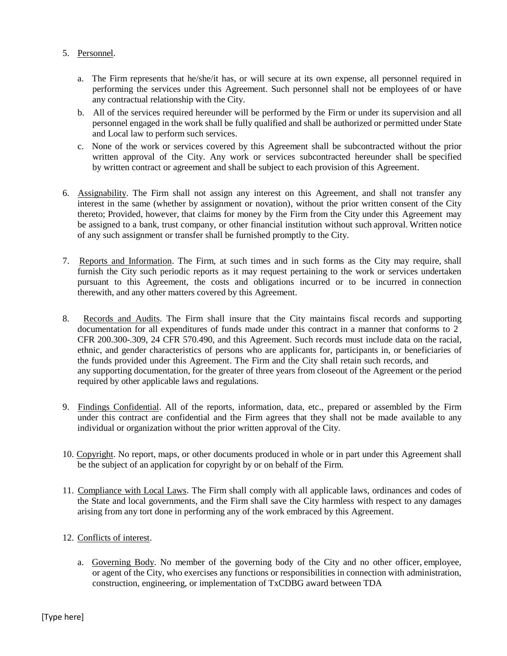#### 5. Personnel.

- a. The Firm represents that he/she/it has, or will secure at its own expense, all personnel required in performing the services under this Agreement. Such personnel shall not be employees of or have any contractual relationship with the City.
- b. All of the services required hereunder will be performed by the Firm or under its supervision and all personnel engaged in the work shall be fully qualified and shall be authorized or permitted under State and Local law to perform such services.
- c. None of the work or services covered by this Agreement shall be subcontracted without the prior written approval of the City. Any work or services subcontracted hereunder shall be specified by written contract or agreement and shall be subject to each provision of this Agreement.
- 6. Assignability. The Firm shall not assign any interest on this Agreement, and shall not transfer any interest in the same (whether by assignment or novation), without the prior written consent of the City thereto; Provided, however, that claims for money by the Firm from the City under this Agreement may be assigned to a bank, trust company, or other financial institution without such approval. Written notice of any such assignment or transfer shall be furnished promptly to the City.
- 7. Reports and Information. The Firm, at such times and in such forms as the City may require, shall furnish the City such periodic reports as it may request pertaining to the work or services undertaken pursuant to this Agreement, the costs and obligations incurred or to be incurred in connection therewith, and any other matters covered by this Agreement.
- 8. Records and Audits. The Firm shall insure that the City maintains fiscal records and supporting documentation for all expenditures of funds made under this contract in a manner that conforms to 2 CFR 200.300-.309, 24 CFR 570.490, and this Agreement. Such records must include data on the racial, ethnic, and gender characteristics of persons who are applicants for, participants in, or beneficiaries of the funds provided under this Agreement. The Firm and the City shall retain such records, and any supporting documentation, for the greater of three years from closeout of the Agreement or the period required by other applicable laws and regulations.
- 9. Findings Confidential. All of the reports, information, data, etc., prepared or assembled by the Firm under this contract are confidential and the Firm agrees that they shall not be made available to any individual or organization without the prior written approval of the City.
- 10. Copyright. No report, maps, or other documents produced in whole or in part under this Agreement shall be the subject of an application for copyright by or on behalf of the Firm.
- 11. Compliance with Local Laws. The Firm shall comply with all applicable laws, ordinances and codes of the State and local governments, and the Firm shall save the City harmless with respect to any damages arising from any tort done in performing any of the work embraced by this Agreement.

#### 12. Conflicts of interest.

a. Governing Body. No member of the governing body of the City and no other officer, employee, or agent of the City, who exercises any functions or responsibilities in connection with administration, construction, engineering, or implementation of TxCDBG award between TDA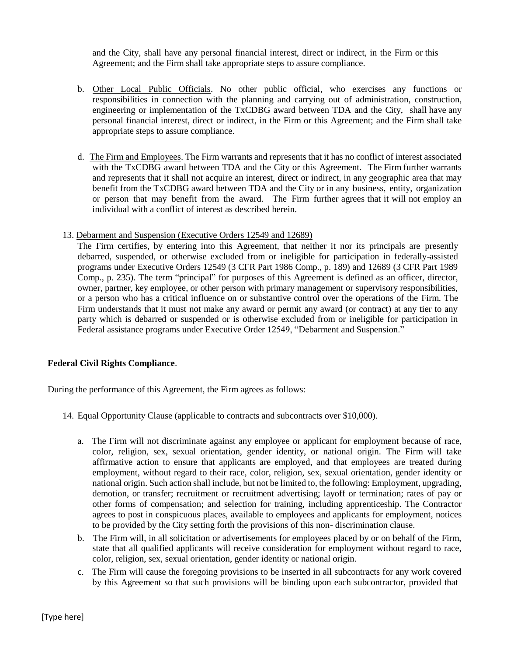and the City, shall have any personal financial interest, direct or indirect, in the Firm or this Agreement; and the Firm shall take appropriate steps to assure compliance.

- b. Other Local Public Officials. No other public official, who exercises any functions or responsibilities in connection with the planning and carrying out of administration, construction, engineering or implementation of the TxCDBG award between TDA and the City, shall have any personal financial interest, direct or indirect, in the Firm or this Agreement; and the Firm shall take appropriate steps to assure compliance.
- d. The Firm and Employees. The Firm warrants and represents that it has no conflict of interest associated with the TxCDBG award between TDA and the City or this Agreement. The Firm further warrants and represents that it shall not acquire an interest, direct or indirect, in any geographic area that may benefit from the TxCDBG award between TDA and the City or in any business, entity, organization or person that may benefit from the award. The Firm further agrees that it will not employ an individual with a conflict of interest as described herein.
- 13. Debarment and Suspension (Executive Orders 12549 and 12689)

The Firm certifies, by entering into this Agreement, that neither it nor its principals are presently debarred, suspended, or otherwise excluded from or ineligible for participation in federally-assisted programs under Executive Orders 12549 (3 CFR Part 1986 Comp., p. 189) and 12689 (3 CFR Part 1989 Comp., p. 235). The term "principal" for purposes of this Agreement is defined as an officer, director, owner, partner, key employee, or other person with primary management or supervisory responsibilities, or a person who has a critical influence on or substantive control over the operations of the Firm. The Firm understands that it must not make any award or permit any award (or contract) at any tier to any party which is debarred or suspended or is otherwise excluded from or ineligible for participation in Federal assistance programs under Executive Order 12549, "Debarment and Suspension."

#### **Federal Civil Rights Compliance**.

During the performance of this Agreement, the Firm agrees as follows:

- 14. Equal Opportunity Clause (applicable to contracts and subcontracts over \$10,000).
	- a. The Firm will not discriminate against any employee or applicant for employment because of race, color, religion, sex, sexual orientation, gender identity, or national origin. The Firm will take affirmative action to ensure that applicants are employed, and that employees are treated during employment, without regard to their race, color, religion, sex, sexual orientation, gender identity or national origin. Such action shall include, but not be limited to, the following: Employment, upgrading, demotion, or transfer; recruitment or recruitment advertising; layoff or termination; rates of pay or other forms of compensation; and selection for training, including apprenticeship. The Contractor agrees to post in conspicuous places, available to employees and applicants for employment, notices to be provided by the City setting forth the provisions of this non- discrimination clause.
	- b. The Firm will, in all solicitation or advertisements for employees placed by or on behalf of the Firm, state that all qualified applicants will receive consideration for employment without regard to race, color, religion, sex, sexual orientation, gender identity or national origin.
	- c. The Firm will cause the foregoing provisions to be inserted in all subcontracts for any work covered by this Agreement so that such provisions will be binding upon each subcontractor, provided that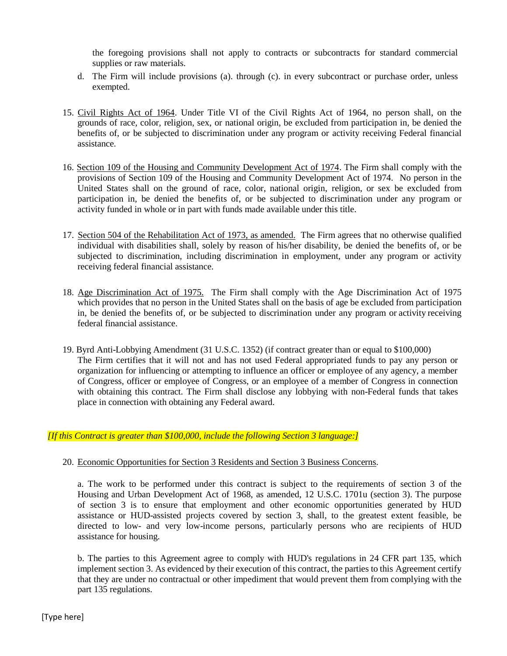the foregoing provisions shall not apply to contracts or subcontracts for standard commercial supplies or raw materials.

- d. The Firm will include provisions (a). through (c). in every subcontract or purchase order, unless exempted.
- 15. Civil Rights Act of 1964. Under Title VI of the Civil Rights Act of 1964, no person shall, on the grounds of race, color, religion, sex, or national origin, be excluded from participation in, be denied the benefits of, or be subjected to discrimination under any program or activity receiving Federal financial assistance.
- 16. Section 109 of the Housing and Community Development Act of 1974. The Firm shall comply with the provisions of Section 109 of the Housing and Community Development Act of 1974. No person in the United States shall on the ground of race, color, national origin, religion, or sex be excluded from participation in, be denied the benefits of, or be subjected to discrimination under any program or activity funded in whole or in part with funds made available under this title.
- 17. Section 504 of the Rehabilitation Act of 1973, as amended. The Firm agrees that no otherwise qualified individual with disabilities shall, solely by reason of his/her disability, be denied the benefits of, or be subjected to discrimination, including discrimination in employment, under any program or activity receiving federal financial assistance.
- 18. Age Discrimination Act of 1975. The Firm shall comply with the Age Discrimination Act of 1975 which provides that no person in the United States shall on the basis of age be excluded from participation in, be denied the benefits of, or be subjected to discrimination under any program or activity receiving federal financial assistance.
- 19. Byrd Anti-Lobbying Amendment (31 U.S.C. 1352) (if contract greater than or equal to \$100,000) The Firm certifies that it will not and has not used Federal appropriated funds to pay any person or organization for influencing or attempting to influence an officer or employee of any agency, a member of Congress, officer or employee of Congress, or an employee of a member of Congress in connection with obtaining this contract. The Firm shall disclose any lobbying with non-Federal funds that takes place in connection with obtaining any Federal award.

#### *[If this Contract is greater than \$100,000, include the following Section 3 language:]*

#### 20. Economic Opportunities for Section 3 Residents and Section 3 Business Concerns.

a. The work to be performed under this contract is subject to the requirements of section 3 of the Housing and Urban Development Act of 1968, as amended, 12 U.S.C. 1701u (section 3). The purpose of section 3 is to ensure that employment and other economic opportunities generated by HUD assistance or HUD-assisted projects covered by section 3, shall, to the greatest extent feasible, be directed to low- and very low-income persons, particularly persons who are recipients of HUD assistance for housing.

b. The parties to this Agreement agree to comply with HUD's regulations in 24 CFR part 135, which implement section 3. As evidenced by their execution of this contract, the parties to this Agreement certify that they are under no contractual or other impediment that would prevent them from complying with the part 135 regulations.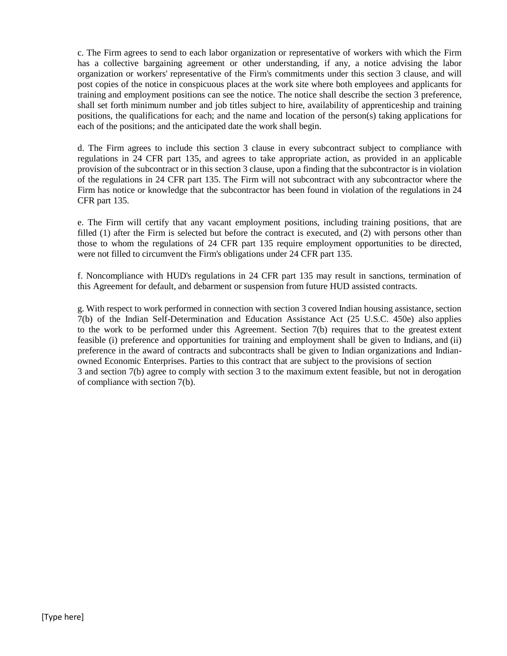c. The Firm agrees to send to each labor organization or representative of workers with which the Firm has a collective bargaining agreement or other understanding, if any, a notice advising the labor organization or workers' representative of the Firm's commitments under this section 3 clause, and will post copies of the notice in conspicuous places at the work site where both employees and applicants for training and employment positions can see the notice. The notice shall describe the section 3 preference, shall set forth minimum number and job titles subject to hire, availability of apprenticeship and training positions, the qualifications for each; and the name and location of the person(s) taking applications for each of the positions; and the anticipated date the work shall begin.

d. The Firm agrees to include this section 3 clause in every subcontract subject to compliance with regulations in 24 CFR part 135, and agrees to take appropriate action, as provided in an applicable provision of the subcontract or in this section 3 clause, upon a finding that the subcontractor is in violation of the regulations in 24 CFR part 135. The Firm will not subcontract with any subcontractor where the Firm has notice or knowledge that the subcontractor has been found in violation of the regulations in 24 CFR part 135.

e. The Firm will certify that any vacant employment positions, including training positions, that are filled (1) after the Firm is selected but before the contract is executed, and (2) with persons other than those to whom the regulations of 24 CFR part 135 require employment opportunities to be directed, were not filled to circumvent the Firm's obligations under 24 CFR part 135.

f. Noncompliance with HUD's regulations in 24 CFR part 135 may result in sanctions, termination of this Agreement for default, and debarment or suspension from future HUD assisted contracts.

g. With respect to work performed in connection with section 3 covered Indian housing assistance, section 7(b) of the Indian Self-Determination and Education Assistance Act (25 U.S.C. 450e) also applies to the work to be performed under this Agreement. Section 7(b) requires that to the greatest extent feasible (i) preference and opportunities for training and employment shall be given to Indians, and (ii) preference in the award of contracts and subcontracts shall be given to Indian organizations and Indianowned Economic Enterprises. Parties to this contract that are subject to the provisions of section 3 and section 7(b) agree to comply with section 3 to the maximum extent feasible, but not in derogation of compliance with section 7(b).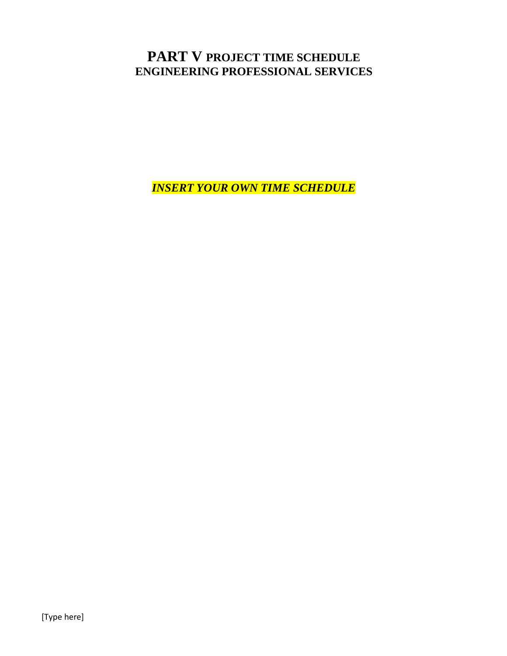## **PART V PROJECT TIME SCHEDULE ENGINEERING PROFESSIONAL SERVICES**

*INSERT YOUR OWN TIME SCHEDULE*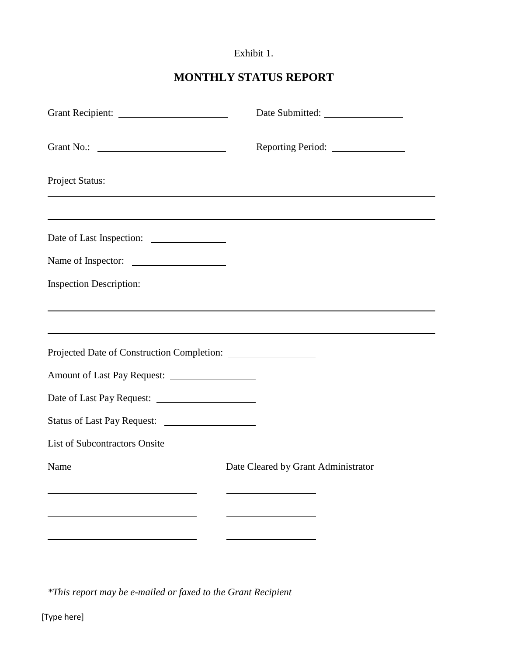## Exhibit 1.

## **MONTHLY STATUS REPORT**

|                                      | Reporting Period: ________________                                                                                                                                   |
|--------------------------------------|----------------------------------------------------------------------------------------------------------------------------------------------------------------------|
| Project Status:                      |                                                                                                                                                                      |
|                                      | ,我们也不会有什么。""我们的人,我们也不会有什么?""我们的人,我们也不会有什么?""我们的人,我们也不会有什么?""我们的人,我们也不会有什么?""我们的人                                                                                     |
| Name of Inspector:                   |                                                                                                                                                                      |
| <b>Inspection Description:</b>       |                                                                                                                                                                      |
|                                      | ,我们也不会有什么。""我们的人,我们也不会有什么?""我们的人,我们也不会有什么?""我们的人,我们也不会有什么?""我们的人,我们也不会有什么?""我们的人<br>,我们也不会有什么。""我们的人,我们也不会有什么?""我们的人,我们也不会有什么?""我们的人,我们也不会有什么?""我们的人,我们也不会有什么?""我们的人 |
|                                      |                                                                                                                                                                      |
|                                      |                                                                                                                                                                      |
|                                      |                                                                                                                                                                      |
|                                      |                                                                                                                                                                      |
| <b>List of Subcontractors Onsite</b> |                                                                                                                                                                      |
| Name                                 | Date Cleared by Grant Administrator                                                                                                                                  |
|                                      |                                                                                                                                                                      |
|                                      |                                                                                                                                                                      |
|                                      |                                                                                                                                                                      |

*\*This report may be e-mailed or faxed to the Grant Recipient*